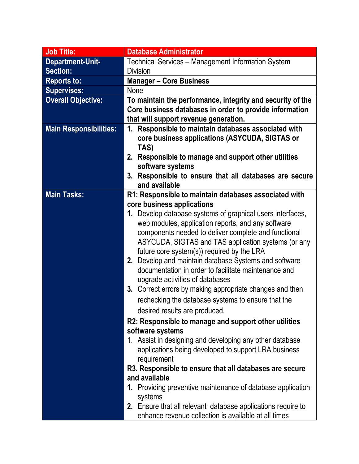| <b>Job Title:</b>             | <b>Database Administrator</b>                                |
|-------------------------------|--------------------------------------------------------------|
| Department-Unit-              | Technical Services - Management Information System           |
| Section:                      | <b>Division</b>                                              |
| <b>Reports to:</b>            | <b>Manager - Core Business</b>                               |
| <b>Supervises:</b>            | <b>None</b>                                                  |
| <b>Overall Objective:</b>     | To maintain the performance, integrity and security of the   |
|                               | Core business databases in order to provide information      |
|                               | that will support revenue generation.                        |
| <b>Main Responsibilities:</b> | 1. Responsible to maintain databases associated with         |
|                               | core business applications (ASYCUDA, SIGTAS or               |
|                               | TAS)                                                         |
|                               | 2. Responsible to manage and support other utilities         |
|                               | software systems                                             |
|                               | 3. Responsible to ensure that all databases are secure       |
|                               | and available                                                |
| <b>Main Tasks:</b>            | R1: Responsible to maintain databases associated with        |
|                               | core business applications                                   |
|                               | 1. Develop database systems of graphical users interfaces,   |
|                               | web modules, application reports, and any software           |
|                               | components needed to deliver complete and functional         |
|                               | ASYCUDA, SIGTAS and TAS application systems (or any          |
|                               | future core system(s)) required by the LRA                   |
|                               | 2. Develop and maintain database Systems and software        |
|                               | documentation in order to facilitate maintenance and         |
|                               | upgrade activities of databases                              |
|                               | 3. Correct errors by making appropriate changes and then     |
|                               | rechecking the database systems to ensure that the           |
|                               | desired results are produced.                                |
|                               | R2: Responsible to manage and support other utilities        |
|                               | software systems                                             |
|                               | 1. Assist in designing and developing any other database     |
|                               | applications being developed to support LRA business         |
|                               | requirement                                                  |
|                               | R3. Responsible to ensure that all databases are secure      |
|                               | and available                                                |
|                               | 1. Providing preventive maintenance of database application  |
|                               | systems                                                      |
|                               | 2. Ensure that all relevant database applications require to |
|                               | enhance revenue collection is available at all times         |